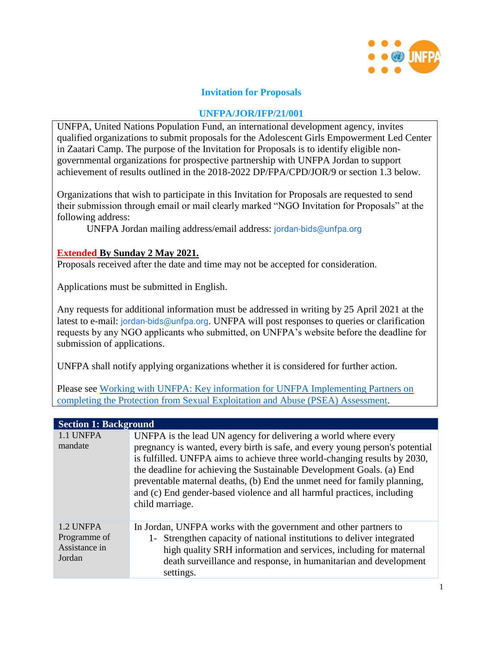

### **Invitation for Proposals**

#### **UNFPA/JOR/IFP/21/001**

UNFPA, United Nations Population Fund, an international development agency, invites qualified organizations to submit proposals for the Adolescent Girls Empowerment Led Center in Zaatari Camp. The purpose of the Invitation for Proposals is to identify eligible nongovernmental organizations for prospective partnership with UNFPA Jordan to support achievement of results outlined in the 2018-2022 DP/FPA/CPD/JOR/9 or section 1.3 below.

Organizations that wish to participate in this Invitation for Proposals are requested to send their submission through email or mail clearly marked "NGO Invitation for Proposals" at the following address:

UNFPA Jordan mailing address/email address: jordan-bids@unfpa.org

#### **Extended By Sunday 2 May 2021.**

Proposals received after the date and time may not be accepted for consideration.

Applications must be submitted in English.

Any requests for additional information must be addressed in writing by 25 April 2021 at the latest to e-mail: jordan-bids@unfpa.org. UNFPA will post responses to queries or clarification requests by any NGO applicants who submitted, on UNFPA's website before the deadline for submission of applications.

UNFPA shall notify applying organizations whether it is considered for further action.

Please see [Working with UNFPA: Key information for UNFPA Implementing Partners on](https://www.unfpa.org/sites/default/files/admin-resource/Working_with_UNFPA_Key_information_for_IP_on_PSEA_Assessment_Nov2020.pdf)  [completing the Protection from Sexual Exploitation and Abuse \(PSEA\) Assessment.](https://www.unfpa.org/sites/default/files/admin-resource/Working_with_UNFPA_Key_information_for_IP_on_PSEA_Assessment_Nov2020.pdf)

| <b>Section 1: Background</b>                         |                                                                                                                                                                                                                                                                                                                                                                                                                                                                               |
|------------------------------------------------------|-------------------------------------------------------------------------------------------------------------------------------------------------------------------------------------------------------------------------------------------------------------------------------------------------------------------------------------------------------------------------------------------------------------------------------------------------------------------------------|
| 1.1 UNFPA<br>mandate                                 | UNFPA is the lead UN agency for delivering a world where every<br>pregnancy is wanted, every birth is safe, and every young person's potential<br>is fulfilled. UNFPA aims to achieve three world-changing results by 2030,<br>the deadline for achieving the Sustainable Development Goals. (a) End<br>preventable maternal deaths, (b) End the unmet need for family planning,<br>and (c) End gender-based violence and all harmful practices, including<br>child marriage. |
| 1.2 UNFPA<br>Programme of<br>Assistance in<br>Jordan | In Jordan, UNFPA works with the government and other partners to<br>1- Strengthen capacity of national institutions to deliver integrated<br>high quality SRH information and services, including for maternal<br>death surveillance and response, in humanitarian and development<br>settings.                                                                                                                                                                               |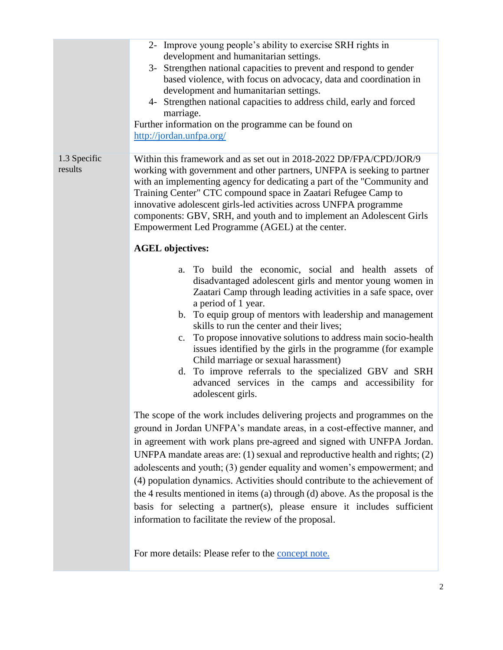|                         | 2- Improve young people's ability to exercise SRH rights in<br>development and humanitarian settings.<br>3- Strengthen national capacities to prevent and respond to gender<br>based violence, with focus on advocacy, data and coordination in<br>development and humanitarian settings.<br>4- Strengthen national capacities to address child, early and forced<br>marriage.<br>Further information on the programme can be found on<br>http://jordan.unfpa.org/                                                                                                                                                                                                                             |
|-------------------------|------------------------------------------------------------------------------------------------------------------------------------------------------------------------------------------------------------------------------------------------------------------------------------------------------------------------------------------------------------------------------------------------------------------------------------------------------------------------------------------------------------------------------------------------------------------------------------------------------------------------------------------------------------------------------------------------|
| 1.3 Specific<br>results | Within this framework and as set out in 2018-2022 DP/FPA/CPD/JOR/9<br>working with government and other partners, UNFPA is seeking to partner<br>with an implementing agency for dedicating a part of the "Community and<br>Training Center" CTC compound space in Zaatari Refugee Camp to<br>innovative adolescent girls-led activities across UNFPA programme<br>components: GBV, SRH, and youth and to implement an Adolescent Girls<br>Empowerment Led Programme (AGEL) at the center.                                                                                                                                                                                                     |
|                         | <b>AGEL</b> objectives:                                                                                                                                                                                                                                                                                                                                                                                                                                                                                                                                                                                                                                                                        |
|                         | a. To build the economic, social and health assets of<br>disadvantaged adolescent girls and mentor young women in<br>Zaatari Camp through leading activities in a safe space, over<br>a period of 1 year.<br>b. To equip group of mentors with leadership and management<br>skills to run the center and their lives;<br>To propose innovative solutions to address main socio-health<br>c.<br>issues identified by the girls in the programme (for example<br>Child marriage or sexual harassment)<br>d. To improve referrals to the specialized GBV and SRH<br>advanced services in the camps and accessibility for<br>adolescent girls.                                                     |
|                         | The scope of the work includes delivering projects and programmes on the<br>ground in Jordan UNFPA's mandate areas, in a cost-effective manner, and<br>in agreement with work plans pre-agreed and signed with UNFPA Jordan.<br>UNFPA mandate areas are: $(1)$ sexual and reproductive health and rights; $(2)$<br>adolescents and youth; (3) gender equality and women's empowerment; and<br>(4) population dynamics. Activities should contribute to the achievement of<br>the 4 results mentioned in items (a) through (d) above. As the proposal is the<br>basis for selecting a partner(s), please ensure it includes sufficient<br>information to facilitate the review of the proposal. |
|                         | For more details: Please refer to the concept note.                                                                                                                                                                                                                                                                                                                                                                                                                                                                                                                                                                                                                                            |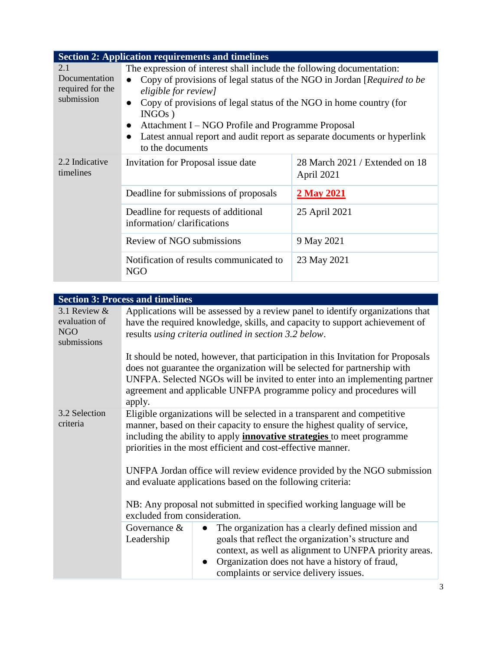|                                                        | <b>Section 2: Application requirements and timelines</b>                                                                                                                                                                                                                                                                                                                                                                                                |                                              |
|--------------------------------------------------------|---------------------------------------------------------------------------------------------------------------------------------------------------------------------------------------------------------------------------------------------------------------------------------------------------------------------------------------------------------------------------------------------------------------------------------------------------------|----------------------------------------------|
| 2.1<br>Documentation<br>required for the<br>submission | The expression of interest shall include the following documentation:<br>Copy of provisions of legal status of the NGO in Jordan [Required to be<br>eligible for review]<br>Copy of provisions of legal status of the NGO in home country (for<br>$\bullet$<br>$INGOs$ )<br>Attachment I – NGO Profile and Programme Proposal<br>$\bullet$<br>Latest annual report and audit report as separate documents or hyperlink<br>$\bullet$<br>to the documents |                                              |
| 2.2 Indicative<br>timelines                            | Invitation for Proposal issue date                                                                                                                                                                                                                                                                                                                                                                                                                      | 28 March 2021 / Extended on 18<br>April 2021 |
|                                                        | Deadline for submissions of proposals                                                                                                                                                                                                                                                                                                                                                                                                                   | <b>2 May 2021</b>                            |
|                                                        | Deadline for requests of additional<br>information/clarifications                                                                                                                                                                                                                                                                                                                                                                                       | 25 April 2021                                |
|                                                        | Review of NGO submissions                                                                                                                                                                                                                                                                                                                                                                                                                               | 9 May 2021                                   |
|                                                        | Notification of results communicated to<br><b>NGO</b>                                                                                                                                                                                                                                                                                                                                                                                                   | 23 May 2021                                  |

|                                                     | <b>Section 3: Process and timelines</b>                                                                                                                                                                                                                                                                                                                                                                                                                                                                                                                |
|-----------------------------------------------------|--------------------------------------------------------------------------------------------------------------------------------------------------------------------------------------------------------------------------------------------------------------------------------------------------------------------------------------------------------------------------------------------------------------------------------------------------------------------------------------------------------------------------------------------------------|
| 3.1 Review &<br>evaluation of<br>NGO<br>submissions | Applications will be assessed by a review panel to identify organizations that<br>have the required knowledge, skills, and capacity to support achievement of<br>results using criteria outlined in section 3.2 below.                                                                                                                                                                                                                                                                                                                                 |
|                                                     | It should be noted, however, that participation in this Invitation for Proposals<br>does not guarantee the organization will be selected for partnership with<br>UNFPA. Selected NGOs will be invited to enter into an implementing partner<br>agreement and applicable UNFPA programme policy and procedures will<br>apply.                                                                                                                                                                                                                           |
| 3.2 Selection<br>criteria                           | Eligible organizations will be selected in a transparent and competitive<br>manner, based on their capacity to ensure the highest quality of service,<br>including the ability to apply <i>innovative strategies</i> to meet programme<br>priorities in the most efficient and cost-effective manner.<br>UNFPA Jordan office will review evidence provided by the NGO submission<br>and evaluate applications based on the following criteria:<br>NB: Any proposal not submitted in specified working language will be<br>excluded from consideration. |
|                                                     | The organization has a clearly defined mission and<br>Governance $&$<br>$\bullet$<br>goals that reflect the organization's structure and<br>Leadership<br>context, as well as alignment to UNFPA priority areas.<br>Organization does not have a history of fraud,<br>$\bullet$<br>complaints or service delivery issues.                                                                                                                                                                                                                              |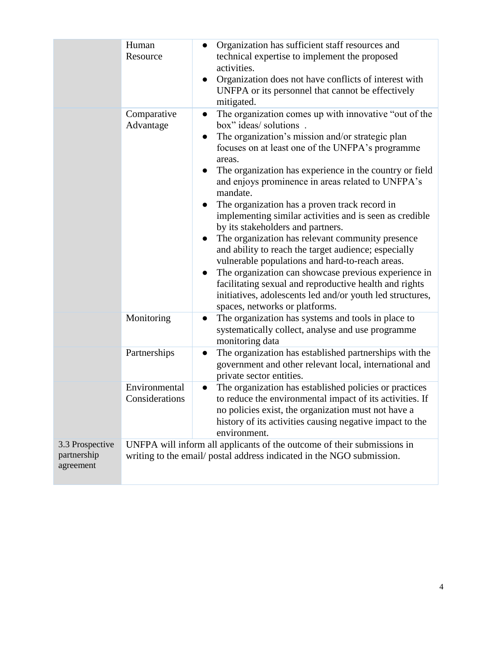|                                             | Human<br>Resource               | Organization has sufficient staff resources and<br>$\bullet$<br>technical expertise to implement the proposed<br>activities.<br>Organization does not have conflicts of interest with<br>$\bullet$<br>UNFPA or its personnel that cannot be effectively<br>mitigated.                                                                                                                                                                                                                                                                                                                                                                                                                                                                                                                                                                                                                                               |
|---------------------------------------------|---------------------------------|---------------------------------------------------------------------------------------------------------------------------------------------------------------------------------------------------------------------------------------------------------------------------------------------------------------------------------------------------------------------------------------------------------------------------------------------------------------------------------------------------------------------------------------------------------------------------------------------------------------------------------------------------------------------------------------------------------------------------------------------------------------------------------------------------------------------------------------------------------------------------------------------------------------------|
|                                             | Comparative<br>Advantage        | The organization comes up with innovative "out of the<br>$\bullet$<br>box" ideas/ solutions .<br>The organization's mission and/or strategic plan<br>focuses on at least one of the UNFPA's programme<br>areas.<br>The organization has experience in the country or field<br>$\bullet$<br>and enjoys prominence in areas related to UNFPA's<br>mandate.<br>The organization has a proven track record in<br>$\bullet$<br>implementing similar activities and is seen as credible<br>by its stakeholders and partners.<br>The organization has relevant community presence<br>and ability to reach the target audience; especially<br>vulnerable populations and hard-to-reach areas.<br>The organization can showcase previous experience in<br>$\bullet$<br>facilitating sexual and reproductive health and rights<br>initiatives, adolescents led and/or youth led structures,<br>spaces, networks or platforms. |
|                                             | Monitoring                      | The organization has systems and tools in place to<br>$\bullet$<br>systematically collect, analyse and use programme<br>monitoring data                                                                                                                                                                                                                                                                                                                                                                                                                                                                                                                                                                                                                                                                                                                                                                             |
|                                             | Partnerships                    | The organization has established partnerships with the<br>$\bullet$<br>government and other relevant local, international and<br>private sector entities.                                                                                                                                                                                                                                                                                                                                                                                                                                                                                                                                                                                                                                                                                                                                                           |
|                                             | Environmental<br>Considerations | The organization has established policies or practices<br>to reduce the environmental impact of its activities. If<br>no policies exist, the organization must not have a<br>history of its activities causing negative impact to the<br>environment.                                                                                                                                                                                                                                                                                                                                                                                                                                                                                                                                                                                                                                                               |
| 3.3 Prospective<br>partnership<br>agreement |                                 | UNFPA will inform all applicants of the outcome of their submissions in<br>writing to the email/ postal address indicated in the NGO submission.                                                                                                                                                                                                                                                                                                                                                                                                                                                                                                                                                                                                                                                                                                                                                                    |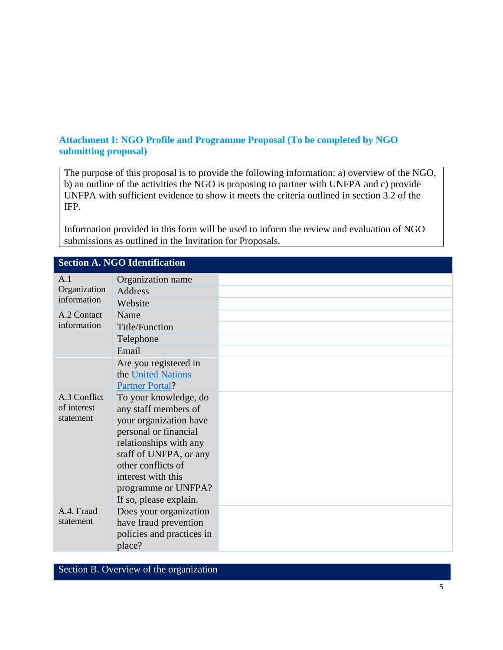## **Attachment I: NGO Profile and Programme Proposal (To be completed by NGO submitting proposal)**

The purpose of this proposal is to provide the following information: a) overview of the NGO, b) an outline of the activities the NGO is proposing to partner with UNFPA and c) provide UNFPA with sufficient evidence to show it meets the criteria outlined in section 3.2 of the IFP.

Information provided in this form will be used to inform the review and evaluation of NGO submissions as outlined in the Invitation for Proposals.

|                             | Section A. INGO Identification                   |  |
|-----------------------------|--------------------------------------------------|--|
| A.1                         | Organization name                                |  |
| Organization<br>information | Address                                          |  |
|                             | Website                                          |  |
| A.2 Contact                 | Name                                             |  |
| information                 | Title/Function                                   |  |
|                             | Telephone                                        |  |
|                             | Email                                            |  |
|                             | Are you registered in                            |  |
|                             | the United Nations                               |  |
|                             | <b>Partner Portal?</b>                           |  |
| A.3 Conflict                | To your knowledge, do                            |  |
| of interest                 | any staff members of                             |  |
| statement                   | your organization have                           |  |
|                             | personal or financial                            |  |
|                             | relationships with any<br>staff of UNFPA, or any |  |
|                             | other conflicts of                               |  |
|                             | interest with this                               |  |
|                             | programme or UNFPA?                              |  |
|                             | If so, please explain.                           |  |
| A.4. Fraud                  | Does your organization                           |  |
| statement                   | have fraud prevention                            |  |
|                             | policies and practices in                        |  |
|                             | place?                                           |  |

# **Section A. NGO Identification**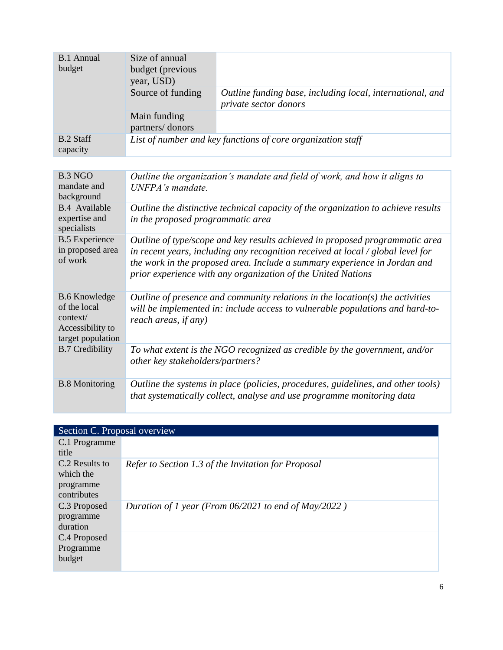| <b>B.1</b> Annual<br>budget                                                               | Size of annual<br>budget (previous<br>year, USD)                                                                                                                                                                                                                                                                  |                                                                                    |
|-------------------------------------------------------------------------------------------|-------------------------------------------------------------------------------------------------------------------------------------------------------------------------------------------------------------------------------------------------------------------------------------------------------------------|------------------------------------------------------------------------------------|
|                                                                                           | Source of funding                                                                                                                                                                                                                                                                                                 | Outline funding base, including local, international, and<br>private sector donors |
|                                                                                           | Main funding<br>partners/donors                                                                                                                                                                                                                                                                                   |                                                                                    |
| <b>B.2 Staff</b><br>capacity                                                              |                                                                                                                                                                                                                                                                                                                   | List of number and key functions of core organization staff                        |
|                                                                                           |                                                                                                                                                                                                                                                                                                                   |                                                                                    |
| <b>B.3 NGO</b><br>mandate and<br>background                                               | UNFPA's mandate.                                                                                                                                                                                                                                                                                                  | Outline the organization's mandate and field of work, and how it aligns to         |
| <b>B.4</b> Available<br>expertise and<br>specialists                                      | Outline the distinctive technical capacity of the organization to achieve results<br>in the proposed programmatic area                                                                                                                                                                                            |                                                                                    |
| <b>B.5</b> Experience<br>in proposed area<br>of work                                      | Outline of type/scope and key results achieved in proposed programmatic area<br>in recent years, including any recognition received at local $\ell$ global level for<br>the work in the proposed area. Include a summary experience in Jordan and<br>prior experience with any organization of the United Nations |                                                                                    |
| <b>B.6</b> Knowledge<br>of the local<br>context/<br>Accessibility to<br>target population | Outline of presence and community relations in the location( $s$ ) the activities<br>will be implemented in: include access to vulnerable populations and hard-to-<br>reach areas, if any)                                                                                                                        |                                                                                    |
| <b>B.7 Credibility</b>                                                                    | other key stakeholders/partners?                                                                                                                                                                                                                                                                                  | To what extent is the NGO recognized as credible by the government, and/or         |
| <b>B.8</b> Monitoring                                                                     | Outline the systems in place (policies, procedures, guidelines, and other tools)<br>that systematically collect, analyse and use programme monitoring data                                                                                                                                                        |                                                                                    |

| Section C. Proposal overview                            |                                                        |
|---------------------------------------------------------|--------------------------------------------------------|
| C.1 Programme<br>title                                  |                                                        |
| C.2 Results to<br>which the<br>programme<br>contributes | Refer to Section 1.3 of the Invitation for Proposal    |
| C.3 Proposed<br>programme<br>duration                   | Duration of 1 year (From $06/2021$ to end of May/2022) |
| C.4 Proposed<br>Programme<br>budget                     |                                                        |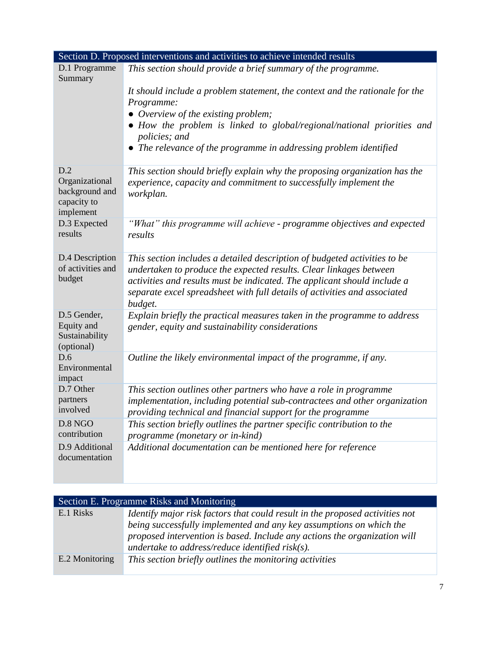|                                                                     | Section D. Proposed interventions and activities to achieve intended results                                                                                 |
|---------------------------------------------------------------------|--------------------------------------------------------------------------------------------------------------------------------------------------------------|
| D.1 Programme<br>Summary                                            | This section should provide a brief summary of the programme.                                                                                                |
|                                                                     | It should include a problem statement, the context and the rationale for the<br>Programme:                                                                   |
|                                                                     | • Overview of the existing problem;<br>• How the problem is linked to global/regional/national priorities and                                                |
|                                                                     | policies; and                                                                                                                                                |
|                                                                     | • The relevance of the programme in addressing problem identified                                                                                            |
| D.2<br>Organizational<br>background and<br>capacity to<br>implement | This section should briefly explain why the proposing organization has the<br>experience, capacity and commitment to successfully implement the<br>workplan. |
| D.3 Expected<br>results                                             | "What" this programme will achieve - programme objectives and expected<br>results                                                                            |
| D.4 Description<br>of activities and                                | This section includes a detailed description of budgeted activities to be<br>undertaken to produce the expected results. Clear linkages between              |
| budget                                                              | activities and results must be indicated. The applicant should include a<br>separate excel spreadsheet with full details of activities and associated        |
| D.5 Gender,                                                         | budget.<br>Explain briefly the practical measures taken in the programme to address                                                                          |
| Equity and<br>Sustainability<br>(optional)                          | gender, equity and sustainability considerations                                                                                                             |
| D.6<br>Environmental<br>impact                                      | Outline the likely environmental impact of the programme, if any.                                                                                            |
| D.7 Other                                                           | This section outlines other partners who have a role in programme                                                                                            |
| partners<br>involved                                                | implementation, including potential sub-contractees and other organization<br>providing technical and financial support for the programme                    |
| D.8 NGO<br>contribution                                             | This section briefly outlines the partner specific contribution to the<br>programme (monetary or in-kind)                                                    |
| D.9 Additional<br>documentation                                     | Additional documentation can be mentioned here for reference                                                                                                 |

| Section E. Programme Risks and Monitoring |                                                                                                                                                                                                                                                                                         |  |
|-------------------------------------------|-----------------------------------------------------------------------------------------------------------------------------------------------------------------------------------------------------------------------------------------------------------------------------------------|--|
| E.1 Risks                                 | Identify major risk factors that could result in the proposed activities not<br>being successfully implemented and any key assumptions on which the<br>proposed intervention is based. Include any actions the organization will<br>undertake to address/reduce identified risk $(s)$ . |  |
| E.2 Monitoring                            | This section briefly outlines the monitoring activities                                                                                                                                                                                                                                 |  |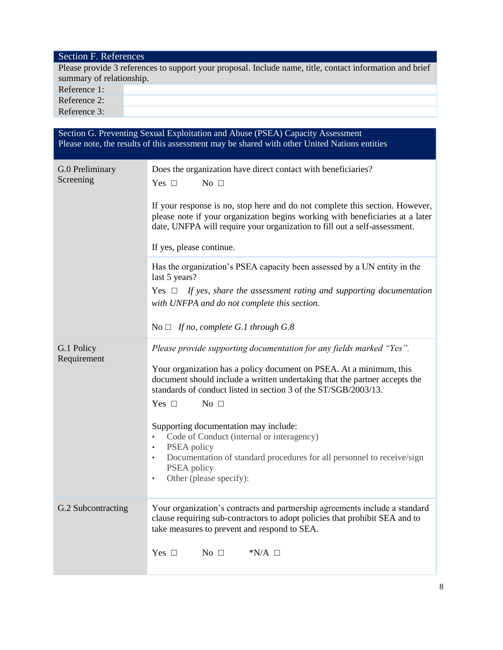| Section G. Preventing Sexual Exploitation and Abuse (PSEA) Capacity Assessment<br>Please note, the results of this assessment may be shared with other United Nations entities |                                                                                                                                                                                                                                                                                                                                                                                                                                                                                                                                                                                                      |  |
|--------------------------------------------------------------------------------------------------------------------------------------------------------------------------------|------------------------------------------------------------------------------------------------------------------------------------------------------------------------------------------------------------------------------------------------------------------------------------------------------------------------------------------------------------------------------------------------------------------------------------------------------------------------------------------------------------------------------------------------------------------------------------------------------|--|
| G.0 Preliminary<br>Screening                                                                                                                                                   | Does the organization have direct contact with beneficiaries?<br>Yes $\square$<br>No $\square$<br>If your response is no, stop here and do not complete this section. However,<br>please note if your organization begins working with beneficiaries at a later<br>date, UNFPA will require your organization to fill out a self-assessment.<br>If yes, please continue.                                                                                                                                                                                                                             |  |
|                                                                                                                                                                                | Has the organization's PSEA capacity been assessed by a UN entity in the<br>last 5 years?<br>Yes $\Box$ If yes, share the assessment rating and supporting documentation<br>with UNFPA and do not complete this section.<br>No $\Box$ If no, complete G.1 through G.8                                                                                                                                                                                                                                                                                                                                |  |
| G.1 Policy<br>Requirement                                                                                                                                                      | Please provide supporting documentation for any fields marked "Yes".<br>Your organization has a policy document on PSEA. At a minimum, this<br>document should include a written undertaking that the partner accepts the<br>standards of conduct listed in section 3 of the ST/SGB/2003/13.<br>No $\Box$<br>Yes $\Box$<br>Supporting documentation may include:<br>Code of Conduct (internal or interagency)<br>$\bullet$<br>PSEA policy<br>$\bullet$<br>Documentation of standard procedures for all personnel to receive/sign<br>$\bullet$<br>PSEA policy<br>Other (please specify):<br>$\bullet$ |  |
| G.2 Subcontracting                                                                                                                                                             | Your organization's contracts and partnership agreements include a standard<br>clause requiring sub-contractors to adopt policies that prohibit SEA and to<br>take measures to prevent and respond to SEA.<br>Yes $\Box$<br>No $\square$<br>$N/A \Box$                                                                                                                                                                                                                                                                                                                                               |  |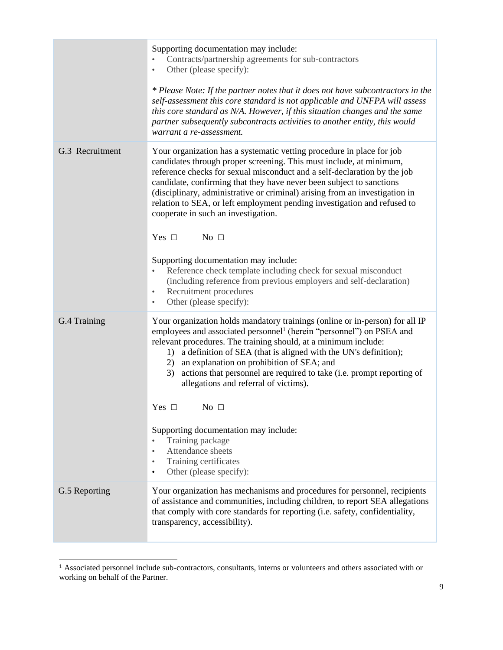|                 | Supporting documentation may include:<br>Contracts/partnership agreements for sub-contractors<br>Other (please specify):<br>$\bullet$<br>* Please Note: If the partner notes that it does not have subcontractors in the<br>self-assessment this core standard is not applicable and UNFPA will assess<br>this core standard as N/A. However, if this situation changes and the same<br>partner subsequently subcontracts activities to another entity, this would<br>warrant a re-assessment.                                                                                                                                                                                                                                                                                                                   |
|-----------------|------------------------------------------------------------------------------------------------------------------------------------------------------------------------------------------------------------------------------------------------------------------------------------------------------------------------------------------------------------------------------------------------------------------------------------------------------------------------------------------------------------------------------------------------------------------------------------------------------------------------------------------------------------------------------------------------------------------------------------------------------------------------------------------------------------------|
| G.3 Recruitment | Your organization has a systematic vetting procedure in place for job<br>candidates through proper screening. This must include, at minimum,<br>reference checks for sexual misconduct and a self-declaration by the job<br>candidate, confirming that they have never been subject to sanctions<br>(disciplinary, administrative or criminal) arising from an investigation in<br>relation to SEA, or left employment pending investigation and refused to<br>cooperate in such an investigation.<br>Yes $\square$<br>No $\square$<br>Supporting documentation may include:<br>Reference check template including check for sexual misconduct<br>$\bullet$<br>(including reference from previous employers and self-declaration)<br>Recruitment procedures<br>$\bullet$<br>Other (please specify):<br>$\bullet$ |
| G.4 Training    | Your organization holds mandatory trainings (online or in-person) for all IP<br>employees and associated personnel <sup>1</sup> (herein "personnel") on PSEA and<br>relevant procedures. The training should, at a minimum include:<br>1) a definition of SEA (that is aligned with the UN's definition);<br>2) an explanation on prohibition of SEA; and<br>3) actions that personnel are required to take (i.e. prompt reporting of<br>allegations and referral of victims).<br>No $\square$<br>Yes $\Box$<br>Supporting documentation may include:<br>Training package<br>Attendance sheets<br>$\bullet$<br>Training certificates<br>$\bullet$<br>Other (please specify):<br>$\bullet$                                                                                                                        |
| G.5 Reporting   | Your organization has mechanisms and procedures for personnel, recipients<br>of assistance and communities, including children, to report SEA allegations<br>that comply with core standards for reporting (i.e. safety, confidentiality,<br>transparency, accessibility).                                                                                                                                                                                                                                                                                                                                                                                                                                                                                                                                       |

l

<sup>1</sup> Associated personnel include sub-contractors, consultants, interns or volunteers and others associated with or working on behalf of the Partner.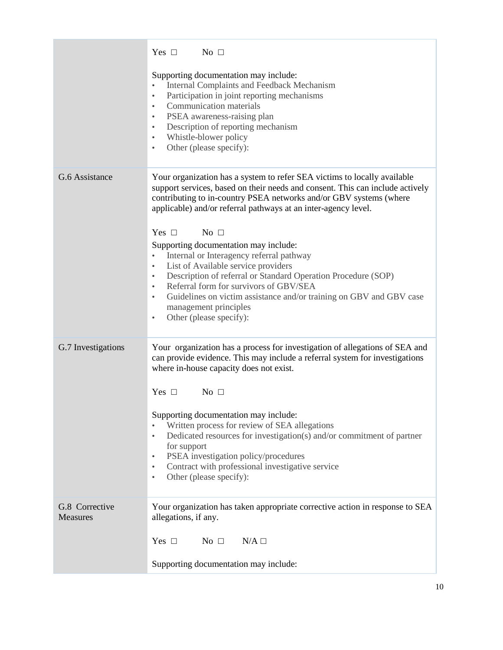|                                   | $Yes \Box$ No $\Box$                                                                                                                                                                                                                                                                                                                                                                                                                         |
|-----------------------------------|----------------------------------------------------------------------------------------------------------------------------------------------------------------------------------------------------------------------------------------------------------------------------------------------------------------------------------------------------------------------------------------------------------------------------------------------|
|                                   | Supporting documentation may include:<br>Internal Complaints and Feedback Mechanism<br>$\bullet$<br>Participation in joint reporting mechanisms<br>$\bullet$<br>Communication materials<br>$\bullet$<br>PSEA awareness-raising plan<br>$\bullet$<br>Description of reporting mechanism<br>$\bullet$<br>Whistle-blower policy<br>$\bullet$<br>Other (please specify):<br>$\bullet$                                                            |
| G.6 Assistance                    | Your organization has a system to refer SEA victims to locally available<br>support services, based on their needs and consent. This can include actively<br>contributing to in-country PSEA networks and/or GBV systems (where<br>applicable) and/or referral pathways at an inter-agency level.<br>$Yes \Box$ No $\Box$                                                                                                                    |
|                                   | Supporting documentation may include:<br>Internal or Interagency referral pathway<br>$\bullet$<br>List of Available service providers<br>$\bullet$<br>Description of referral or Standard Operation Procedure (SOP)<br>$\bullet$<br>Referral form for survivors of GBV/SEA<br>$\bullet$<br>Guidelines on victim assistance and/or training on GBV and GBV case<br>$\bullet$<br>management principles<br>Other (please specify):<br>$\bullet$ |
| G.7 Investigations                | Your organization has a process for investigation of allegations of SEA and<br>can provide evidence. This may include a referral system for investigations<br>where in-house capacity does not exist.<br>$Yes \Box$ No $\Box$                                                                                                                                                                                                                |
|                                   | Supporting documentation may include:<br>Written process for review of SEA allegations<br>$\bullet$<br>Dedicated resources for investigation(s) and/or commitment of partner<br>$\bullet$<br>for support<br>PSEA investigation policy/procedures<br>$\bullet$<br>Contract with professional investigative service<br>$\bullet$<br>Other (please specify):<br>٠                                                                               |
| G.8 Corrective<br><b>Measures</b> | Your organization has taken appropriate corrective action in response to SEA<br>allegations, if any.                                                                                                                                                                                                                                                                                                                                         |
|                                   | Yes $\Box$<br>No $\square$<br>$N/A \Box$<br>Supporting documentation may include:                                                                                                                                                                                                                                                                                                                                                            |